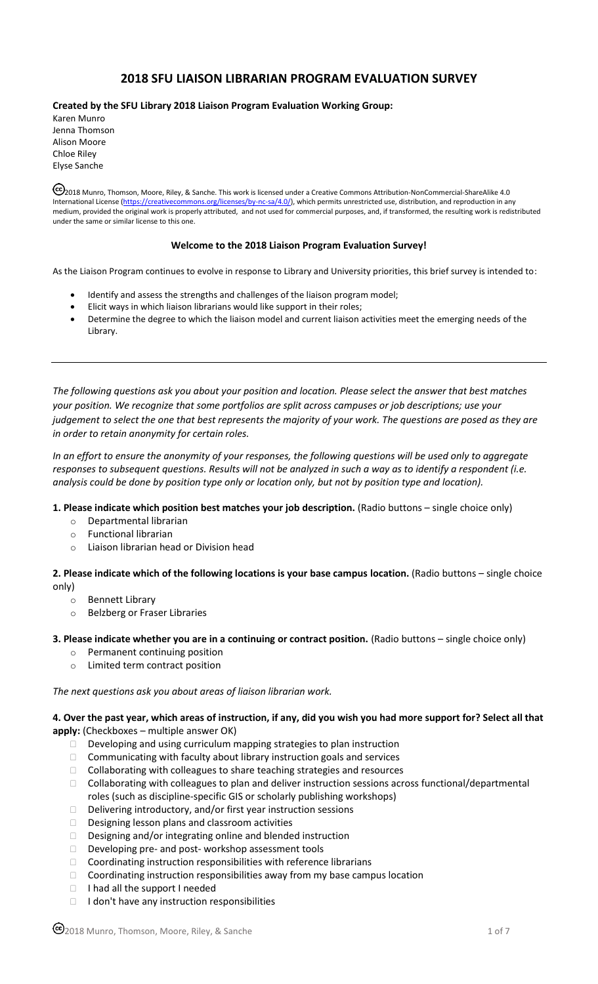# **2018 SFU LIAISON LIBRARIAN PROGRAM EVALUATION SURVEY**

**Created by the SFU Library 2018 Liaison Program Evaluation Working Group:**

Karen Munro Jenna Thomson Alison Moore Chloe Riley Elyse Sanche

2018 Munro, Thomson, Moore, Riley, & Sanche. This work is licensed under a Creative Commons Attribution-NonCommercial-ShareAlike 4.0 International License [\(https://creativecommons.org/licenses/by-nc-sa/4.0/\),](https://creativecommons.org/licenses/by-nc-sa/4.0/) which permits unrestricted use, distribution, and reproduction in any medium, provided the original work is properly attributed, and not used for commercial purposes, and, if transformed, the resulting work is redistributed under the same or similar license to this one.

### **Welcome to the 2018 Liaison Program Evaluation Survey!**

As the Liaison Program continues to evolve in response to Library and University priorities, this brief survey is intended to:

- Identify and assess the strengths and challenges of the liaison program model;
- Elicit ways in which liaison librarians would like support in their roles;
- Determine the degree to which the liaison model and current liaison activities meet the emerging needs of the Library.

*The following questions ask you about your position and location. Please select the answer that best matches your position. We recognize that some portfolios are split across campuses or job descriptions; use your judgement to select the one that best represents the majority of your work. The questions are posed as they are in order to retain anonymity for certain roles.*

*In an effort to ensure the anonymity of your responses, the following questions will be used only to aggregate responses to subsequent questions. Results will not be analyzed in such a way as to identify a respondent (i.e. analysis could be done by position type only or location only, but not by position type and location).* 

#### **1. Please indicate which position best matches your job description.** (Radio buttons – single choice only)

- o Departmental librarian
- o Functional librarian
- Liaison librarian head or Division head

**2. Please indicate which of the following locations is your base campus location.** (Radio buttons – single choice only)

- o Bennett Library
- o Belzberg or Fraser Libraries
- **3. Please indicate whether you are in a continuing or contract position.** (Radio buttons single choice only)
	- o Permanent continuing position
	- o Limited term contract position

*The next questions ask you about areas of liaison librarian work.* 

**4. Over the past year, which areas of instruction, if any, did you wish you had more support for? Select all that apply:** (Checkboxes – multiple answer OK)

- $\Box$  Developing and using curriculum mapping strategies to plan instruction
- $\Box$  Communicating with faculty about library instruction goals and services
- □ Collaborating with colleagues to share teaching strategies and resources
- $\Box$  Collaborating with colleagues to plan and deliver instruction sessions across functional/departmental roles (such as discipline-specific GIS or scholarly publishing workshops)
- □ Delivering introductory, and/or first year instruction sessions
- Designing lesson plans and classroom activities
- Designing and/or integrating online and blended instruction
- D Developing pre- and post- workshop assessment tools
- $\Box$  Coordinating instruction responsibilities with reference librarians
- $\Box$  Coordinating instruction responsibilities away from my base campus location
- $\Box$  I had all the support I needed
- $\Box$  I don't have any instruction responsibilities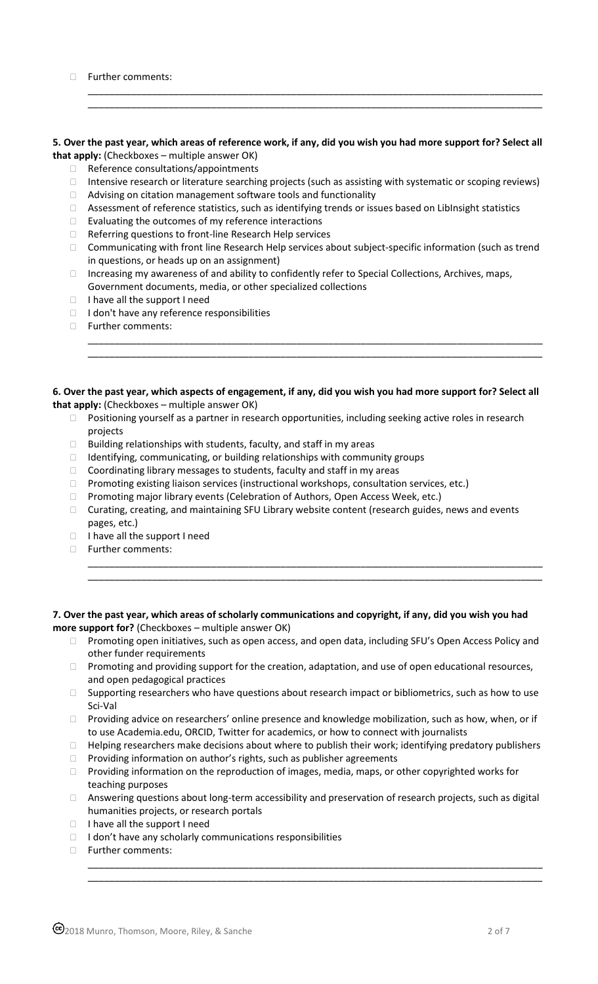|  | Further comments: |
|--|-------------------|
|--|-------------------|

## **5. Over the past year, which areas of reference work, if any, did you wish you had more support for? Select all that apply:** (Checkboxes – multiple answer OK)

\_\_\_\_\_\_\_\_\_\_\_\_\_\_\_\_\_\_\_\_\_\_\_\_\_\_\_\_\_\_\_\_\_\_\_\_\_\_\_\_\_\_\_\_\_\_\_\_\_\_\_\_\_\_\_\_\_\_\_\_\_\_\_\_\_\_\_\_\_\_\_\_\_\_\_\_\_\_\_\_\_\_\_\_\_ \_\_\_\_\_\_\_\_\_\_\_\_\_\_\_\_\_\_\_\_\_\_\_\_\_\_\_\_\_\_\_\_\_\_\_\_\_\_\_\_\_\_\_\_\_\_\_\_\_\_\_\_\_\_\_\_\_\_\_\_\_\_\_\_\_\_\_\_\_\_\_\_\_\_\_\_\_\_\_\_\_\_\_\_\_

- $\Box$  Reference consultations/appointments
- □ Intensive research or literature searching projects (such as assisting with systematic or scoping reviews)
- □ Advising on citation management software tools and functionality
- □ Assessment of reference statistics, such as identifying trends or issues based on LibInsight statistics
- $\Box$  Evaluating the outcomes of my reference interactions
- □ Referring questions to front-line Research Help services
- □ Communicating with front line Research Help services about subject-specific information (such as trend in questions, or heads up on an assignment)

\_\_\_\_\_\_\_\_\_\_\_\_\_\_\_\_\_\_\_\_\_\_\_\_\_\_\_\_\_\_\_\_\_\_\_\_\_\_\_\_\_\_\_\_\_\_\_\_\_\_\_\_\_\_\_\_\_\_\_\_\_\_\_\_\_\_\_\_\_\_\_\_\_\_\_\_\_\_\_\_\_\_\_\_\_ \_\_\_\_\_\_\_\_\_\_\_\_\_\_\_\_\_\_\_\_\_\_\_\_\_\_\_\_\_\_\_\_\_\_\_\_\_\_\_\_\_\_\_\_\_\_\_\_\_\_\_\_\_\_\_\_\_\_\_\_\_\_\_\_\_\_\_\_\_\_\_\_\_\_\_\_\_\_\_\_\_\_\_\_\_

- □ Increasing my awareness of and ability to confidently refer to Special Collections, Archives, maps, Government documents, media, or other specialized collections
- $\Box$  I have all the support I need
- $\Box$  I don't have any reference responsibilities
- Further comments:

#### **6. Over the past year, which aspects of engagement, if any, did you wish you had more support for? Select all that apply:** (Checkboxes – multiple answer OK)

- □ Positioning yourself as a partner in research opportunities, including seeking active roles in research projects
- $\Box$  Building relationships with students, faculty, and staff in my areas
- $\Box$  Identifying, communicating, or building relationships with community groups
- □ Coordinating library messages to students, faculty and staff in my areas
- □ Promoting existing liaison services (instructional workshops, consultation services, etc.)
- □ Promoting major library events (Celebration of Authors, Open Access Week, etc.)
- □ Curating, creating, and maintaining SFU Library website content (research guides, news and events pages, etc.)
- $\Box$  I have all the support I need
- Further comments:

# **7. Over the past year, which areas of scholarly communications and copyright, if any, did you wish you had more support for?** (Checkboxes – multiple answer OK)

□ Promoting open initiatives, such as open access, and open data, including SFU's Open Access Policy and other funder requirements

\_\_\_\_\_\_\_\_\_\_\_\_\_\_\_\_\_\_\_\_\_\_\_\_\_\_\_\_\_\_\_\_\_\_\_\_\_\_\_\_\_\_\_\_\_\_\_\_\_\_\_\_\_\_\_\_\_\_\_\_\_\_\_\_\_\_\_\_\_\_\_\_\_\_\_\_\_\_\_\_\_\_\_\_\_ \_\_\_\_\_\_\_\_\_\_\_\_\_\_\_\_\_\_\_\_\_\_\_\_\_\_\_\_\_\_\_\_\_\_\_\_\_\_\_\_\_\_\_\_\_\_\_\_\_\_\_\_\_\_\_\_\_\_\_\_\_\_\_\_\_\_\_\_\_\_\_\_\_\_\_\_\_\_\_\_\_\_\_\_\_

- □ Promoting and providing support for the creation, adaptation, and use of open educational resources, and open pedagogical practices
- $\Box$  Supporting researchers who have questions about research impact or bibliometrics, such as how to use Sci-Val
- $\Box$  Providing advice on researchers' online presence and knowledge mobilization, such as how, when, or if to use Academia.edu, ORCID, Twitter for academics, or how to connect with journalists
- $\Box$  Helping researchers make decisions about where to publish their work; identifying predatory publishers
- $\Box$  Providing information on author's rights, such as publisher agreements
- □ Providing information on the reproduction of images, media, maps, or other copyrighted works for teaching purposes
- □ Answering questions about long-term accessibility and preservation of research projects, such as digital humanities projects, or research portals

\_\_\_\_\_\_\_\_\_\_\_\_\_\_\_\_\_\_\_\_\_\_\_\_\_\_\_\_\_\_\_\_\_\_\_\_\_\_\_\_\_\_\_\_\_\_\_\_\_\_\_\_\_\_\_\_\_\_\_\_\_\_\_\_\_\_\_\_\_\_\_\_\_\_\_\_\_\_\_\_\_\_\_\_\_ \_\_\_\_\_\_\_\_\_\_\_\_\_\_\_\_\_\_\_\_\_\_\_\_\_\_\_\_\_\_\_\_\_\_\_\_\_\_\_\_\_\_\_\_\_\_\_\_\_\_\_\_\_\_\_\_\_\_\_\_\_\_\_\_\_\_\_\_\_\_\_\_\_\_\_\_\_\_\_\_\_\_\_\_\_

- $\Box$  I have all the support I need
- $\Box$  I don't have any scholarly communications responsibilities
- Further comments: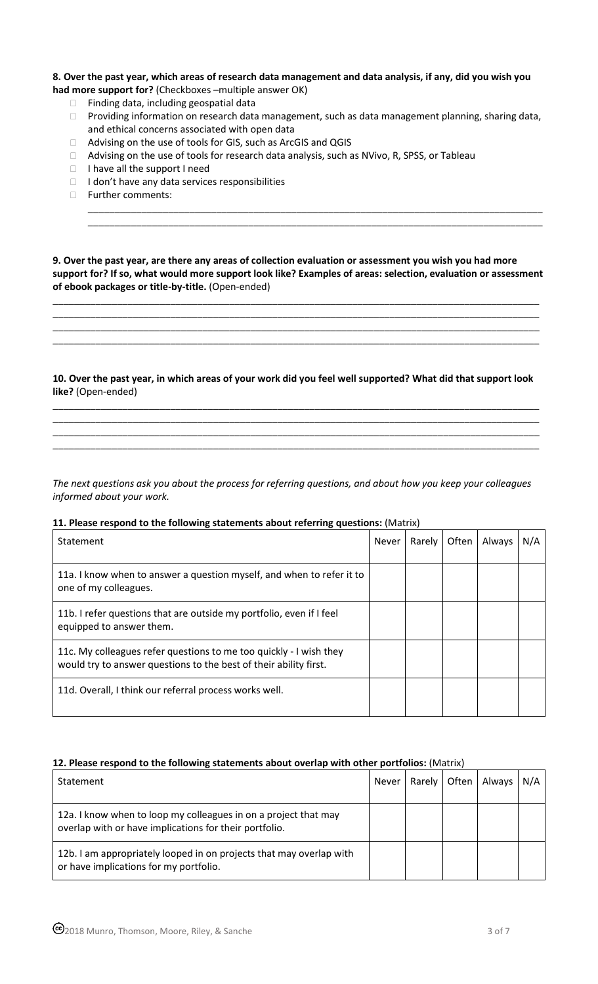## **8. Over the past year, which areas of research data management and data analysis, if any, did you wish you had more support for?** (Checkboxes –multiple answer OK)

- $\Box$  Finding data, including geospatial data
- □ Providing information on research data management, such as data management planning, sharing data, and ethical concerns associated with open data

\_\_\_\_\_\_\_\_\_\_\_\_\_\_\_\_\_\_\_\_\_\_\_\_\_\_\_\_\_\_\_\_\_\_\_\_\_\_\_\_\_\_\_\_\_\_\_\_\_\_\_\_\_\_\_\_\_\_\_\_\_\_\_\_\_\_\_\_\_\_\_\_\_\_\_\_\_\_\_\_\_\_\_\_\_ \_\_\_\_\_\_\_\_\_\_\_\_\_\_\_\_\_\_\_\_\_\_\_\_\_\_\_\_\_\_\_\_\_\_\_\_\_\_\_\_\_\_\_\_\_\_\_\_\_\_\_\_\_\_\_\_\_\_\_\_\_\_\_\_\_\_\_\_\_\_\_\_\_\_\_\_\_\_\_\_\_\_\_\_\_

- □ Advising on the use of tools for GIS, such as ArcGIS and QGIS
- □ Advising on the use of tools for research data analysis, such as NVivo, R, SPSS, or Tableau
- $\Box$  I have all the support I need
- $\Box$  I don't have any data services responsibilities
- Further comments:

**9. Over the past year, are there any areas of collection evaluation or assessment you wish you had more support for? If so, what would more support look like? Examples of areas: selection, evaluation or assessment of ebook packages or title-by-title.** (Open-ended)

\_\_\_\_\_\_\_\_\_\_\_\_\_\_\_\_\_\_\_\_\_\_\_\_\_\_\_\_\_\_\_\_\_\_\_\_\_\_\_\_\_\_\_\_\_\_\_\_\_\_\_\_\_\_\_\_\_\_\_\_\_\_\_\_\_\_\_\_\_\_\_\_\_\_\_\_\_\_\_\_\_\_\_\_\_\_\_\_\_\_\_ \_\_\_\_\_\_\_\_\_\_\_\_\_\_\_\_\_\_\_\_\_\_\_\_\_\_\_\_\_\_\_\_\_\_\_\_\_\_\_\_\_\_\_\_\_\_\_\_\_\_\_\_\_\_\_\_\_\_\_\_\_\_\_\_\_\_\_\_\_\_\_\_\_\_\_\_\_\_\_\_\_\_\_\_\_\_\_\_\_\_\_ \_\_\_\_\_\_\_\_\_\_\_\_\_\_\_\_\_\_\_\_\_\_\_\_\_\_\_\_\_\_\_\_\_\_\_\_\_\_\_\_\_\_\_\_\_\_\_\_\_\_\_\_\_\_\_\_\_\_\_\_\_\_\_\_\_\_\_\_\_\_\_\_\_\_\_\_\_\_\_\_\_\_\_\_\_\_\_\_\_\_\_ \_\_\_\_\_\_\_\_\_\_\_\_\_\_\_\_\_\_\_\_\_\_\_\_\_\_\_\_\_\_\_\_\_\_\_\_\_\_\_\_\_\_\_\_\_\_\_\_\_\_\_\_\_\_\_\_\_\_\_\_\_\_\_\_\_\_\_\_\_\_\_\_\_\_\_\_\_\_\_\_\_\_\_\_\_\_\_\_\_\_\_

**10. Over the past year, in which areas of your work did you feel well supported? What did that support look like?** (Open-ended)

\_\_\_\_\_\_\_\_\_\_\_\_\_\_\_\_\_\_\_\_\_\_\_\_\_\_\_\_\_\_\_\_\_\_\_\_\_\_\_\_\_\_\_\_\_\_\_\_\_\_\_\_\_\_\_\_\_\_\_\_\_\_\_\_\_\_\_\_\_\_\_\_\_\_\_\_\_\_\_\_\_\_\_\_\_\_\_\_\_\_\_ \_\_\_\_\_\_\_\_\_\_\_\_\_\_\_\_\_\_\_\_\_\_\_\_\_\_\_\_\_\_\_\_\_\_\_\_\_\_\_\_\_\_\_\_\_\_\_\_\_\_\_\_\_\_\_\_\_\_\_\_\_\_\_\_\_\_\_\_\_\_\_\_\_\_\_\_\_\_\_\_\_\_\_\_\_\_\_\_\_\_\_ \_\_\_\_\_\_\_\_\_\_\_\_\_\_\_\_\_\_\_\_\_\_\_\_\_\_\_\_\_\_\_\_\_\_\_\_\_\_\_\_\_\_\_\_\_\_\_\_\_\_\_\_\_\_\_\_\_\_\_\_\_\_\_\_\_\_\_\_\_\_\_\_\_\_\_\_\_\_\_\_\_\_\_\_\_\_\_\_\_\_\_ \_\_\_\_\_\_\_\_\_\_\_\_\_\_\_\_\_\_\_\_\_\_\_\_\_\_\_\_\_\_\_\_\_\_\_\_\_\_\_\_\_\_\_\_\_\_\_\_\_\_\_\_\_\_\_\_\_\_\_\_\_\_\_\_\_\_\_\_\_\_\_\_\_\_\_\_\_\_\_\_\_\_\_\_\_\_\_\_\_\_\_

*The next questions ask you about the process for referring questions, and about how you keep your colleagues informed about your work.* 

## **11. Please respond to the following statements about referring questions:** (Matrix)

| Statement                                                                                                                               | <b>Never</b> | Rarely | Often | Always | N/A |
|-----------------------------------------------------------------------------------------------------------------------------------------|--------------|--------|-------|--------|-----|
| 11a. I know when to answer a question myself, and when to refer it to<br>one of my colleagues.                                          |              |        |       |        |     |
| 11b. I refer questions that are outside my portfolio, even if I feel<br>equipped to answer them.                                        |              |        |       |        |     |
| 11c. My colleagues refer questions to me too quickly - I wish they<br>would try to answer questions to the best of their ability first. |              |        |       |        |     |
| 11d. Overall, I think our referral process works well.                                                                                  |              |        |       |        |     |

# **12. Please respond to the following statements about overlap with other portfolios:** (Matrix)

| Statement                                                                                                                 | Never | Rarely   Often | Always | N/A |
|---------------------------------------------------------------------------------------------------------------------------|-------|----------------|--------|-----|
| 12a. I know when to loop my colleagues in on a project that may<br>overlap with or have implications for their portfolio. |       |                |        |     |
| 12b. I am appropriately looped in on projects that may overlap with<br>or have implications for my portfolio.             |       |                |        |     |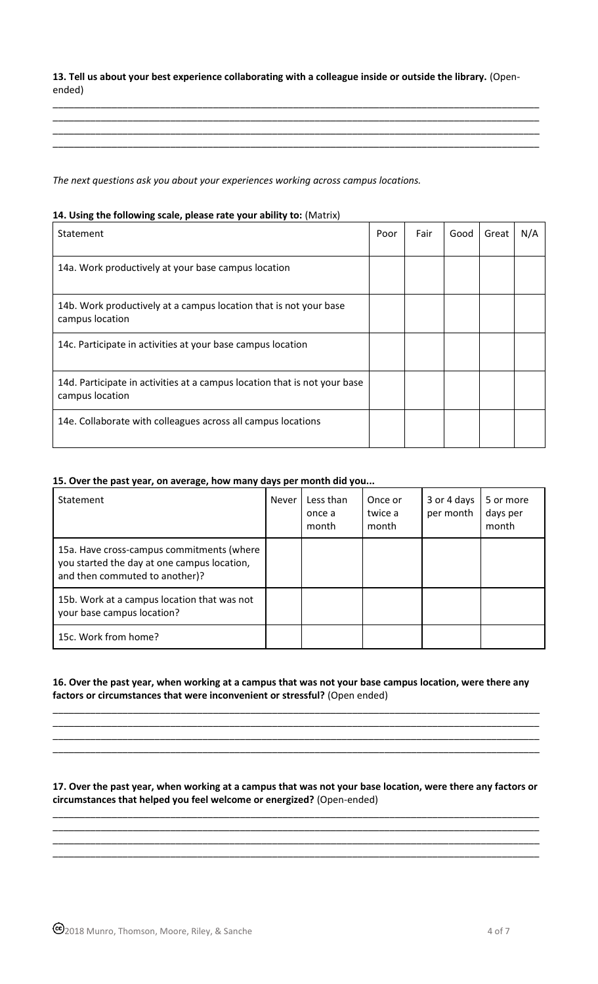**13. Tell us about your best experience collaborating with a colleague inside or outside the library.** (Openended)

\_\_\_\_\_\_\_\_\_\_\_\_\_\_\_\_\_\_\_\_\_\_\_\_\_\_\_\_\_\_\_\_\_\_\_\_\_\_\_\_\_\_\_\_\_\_\_\_\_\_\_\_\_\_\_\_\_\_\_\_\_\_\_\_\_\_\_\_\_\_\_\_\_\_\_\_\_\_\_\_\_\_\_\_\_\_\_\_\_\_\_ \_\_\_\_\_\_\_\_\_\_\_\_\_\_\_\_\_\_\_\_\_\_\_\_\_\_\_\_\_\_\_\_\_\_\_\_\_\_\_\_\_\_\_\_\_\_\_\_\_\_\_\_\_\_\_\_\_\_\_\_\_\_\_\_\_\_\_\_\_\_\_\_\_\_\_\_\_\_\_\_\_\_\_\_\_\_\_\_\_\_\_ \_\_\_\_\_\_\_\_\_\_\_\_\_\_\_\_\_\_\_\_\_\_\_\_\_\_\_\_\_\_\_\_\_\_\_\_\_\_\_\_\_\_\_\_\_\_\_\_\_\_\_\_\_\_\_\_\_\_\_\_\_\_\_\_\_\_\_\_\_\_\_\_\_\_\_\_\_\_\_\_\_\_\_\_\_\_\_\_\_\_\_ \_\_\_\_\_\_\_\_\_\_\_\_\_\_\_\_\_\_\_\_\_\_\_\_\_\_\_\_\_\_\_\_\_\_\_\_\_\_\_\_\_\_\_\_\_\_\_\_\_\_\_\_\_\_\_\_\_\_\_\_\_\_\_\_\_\_\_\_\_\_\_\_\_\_\_\_\_\_\_\_\_\_\_\_\_\_\_\_\_\_\_

*The next questions ask you about your experiences working across campus locations.*

# **14. Using the following scale, please rate your ability to:** (Matrix)

| Statement                                                                                    | Poor | Fair | Good | Great | N/A |
|----------------------------------------------------------------------------------------------|------|------|------|-------|-----|
| 14a. Work productively at your base campus location                                          |      |      |      |       |     |
| 14b. Work productively at a campus location that is not your base<br>campus location         |      |      |      |       |     |
| 14c. Participate in activities at your base campus location                                  |      |      |      |       |     |
| 14d. Participate in activities at a campus location that is not your base<br>campus location |      |      |      |       |     |
| 14e. Collaborate with colleagues across all campus locations                                 |      |      |      |       |     |

# **15. Over the past year, on average, how many days per month did you...**

| Statement                                                                                                                  | Never | Less than<br>once a<br>month | Once or<br>twice a<br>month | 3 or 4 days<br>per month | 5 or more<br>days per<br>month |
|----------------------------------------------------------------------------------------------------------------------------|-------|------------------------------|-----------------------------|--------------------------|--------------------------------|
| 15a. Have cross-campus commitments (where<br>you started the day at one campus location,<br>and then commuted to another)? |       |                              |                             |                          |                                |
| 15b. Work at a campus location that was not<br>your base campus location?                                                  |       |                              |                             |                          |                                |
| 15c. Work from home?                                                                                                       |       |                              |                             |                          |                                |

## **16. Over the past year, when working at a campus that was not your base campus location, were there any factors or circumstances that were inconvenient or stressful?** (Open ended)

\_\_\_\_\_\_\_\_\_\_\_\_\_\_\_\_\_\_\_\_\_\_\_\_\_\_\_\_\_\_\_\_\_\_\_\_\_\_\_\_\_\_\_\_\_\_\_\_\_\_\_\_\_\_\_\_\_\_\_\_\_\_\_\_\_\_\_\_\_\_\_\_\_\_\_\_\_\_\_\_\_\_\_\_\_\_\_\_\_\_\_ \_\_\_\_\_\_\_\_\_\_\_\_\_\_\_\_\_\_\_\_\_\_\_\_\_\_\_\_\_\_\_\_\_\_\_\_\_\_\_\_\_\_\_\_\_\_\_\_\_\_\_\_\_\_\_\_\_\_\_\_\_\_\_\_\_\_\_\_\_\_\_\_\_\_\_\_\_\_\_\_\_\_\_\_\_\_\_\_\_\_\_ \_\_\_\_\_\_\_\_\_\_\_\_\_\_\_\_\_\_\_\_\_\_\_\_\_\_\_\_\_\_\_\_\_\_\_\_\_\_\_\_\_\_\_\_\_\_\_\_\_\_\_\_\_\_\_\_\_\_\_\_\_\_\_\_\_\_\_\_\_\_\_\_\_\_\_\_\_\_\_\_\_\_\_\_\_\_\_\_\_\_\_ \_\_\_\_\_\_\_\_\_\_\_\_\_\_\_\_\_\_\_\_\_\_\_\_\_\_\_\_\_\_\_\_\_\_\_\_\_\_\_\_\_\_\_\_\_\_\_\_\_\_\_\_\_\_\_\_\_\_\_\_\_\_\_\_\_\_\_\_\_\_\_\_\_\_\_\_\_\_\_\_\_\_\_\_\_\_\_\_\_\_\_

## **17. Over the past year, when working at a campus that was not your base location, were there any factors or circumstances that helped you feel welcome or energized?** (Open-ended)

\_\_\_\_\_\_\_\_\_\_\_\_\_\_\_\_\_\_\_\_\_\_\_\_\_\_\_\_\_\_\_\_\_\_\_\_\_\_\_\_\_\_\_\_\_\_\_\_\_\_\_\_\_\_\_\_\_\_\_\_\_\_\_\_\_\_\_\_\_\_\_\_\_\_\_\_\_\_\_\_\_\_\_\_\_\_\_\_\_\_\_ \_\_\_\_\_\_\_\_\_\_\_\_\_\_\_\_\_\_\_\_\_\_\_\_\_\_\_\_\_\_\_\_\_\_\_\_\_\_\_\_\_\_\_\_\_\_\_\_\_\_\_\_\_\_\_\_\_\_\_\_\_\_\_\_\_\_\_\_\_\_\_\_\_\_\_\_\_\_\_\_\_\_\_\_\_\_\_\_\_\_\_ \_\_\_\_\_\_\_\_\_\_\_\_\_\_\_\_\_\_\_\_\_\_\_\_\_\_\_\_\_\_\_\_\_\_\_\_\_\_\_\_\_\_\_\_\_\_\_\_\_\_\_\_\_\_\_\_\_\_\_\_\_\_\_\_\_\_\_\_\_\_\_\_\_\_\_\_\_\_\_\_\_\_\_\_\_\_\_\_\_\_\_ \_\_\_\_\_\_\_\_\_\_\_\_\_\_\_\_\_\_\_\_\_\_\_\_\_\_\_\_\_\_\_\_\_\_\_\_\_\_\_\_\_\_\_\_\_\_\_\_\_\_\_\_\_\_\_\_\_\_\_\_\_\_\_\_\_\_\_\_\_\_\_\_\_\_\_\_\_\_\_\_\_\_\_\_\_\_\_\_\_\_\_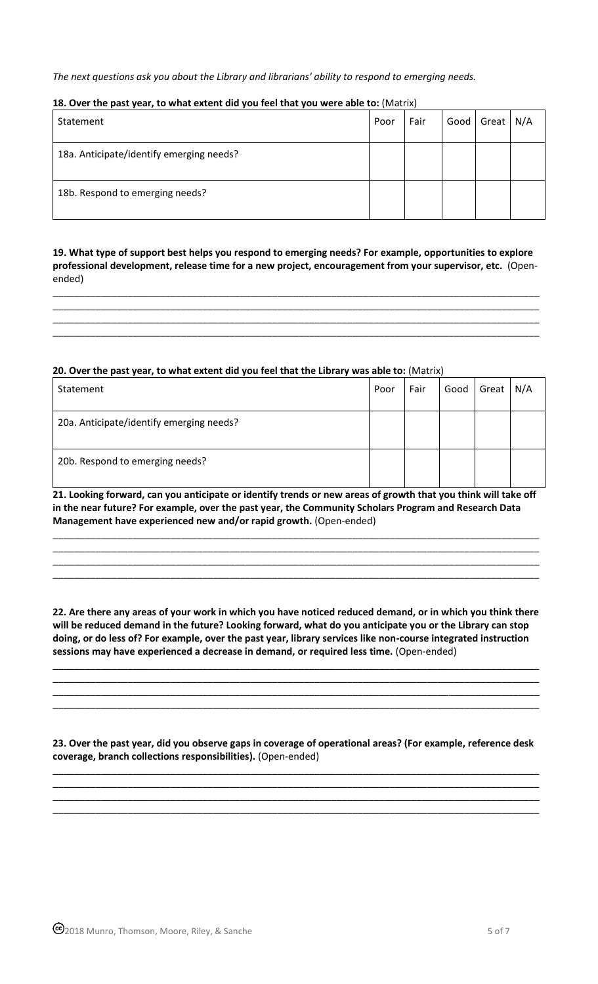*The next questions ask you about the Library and librarians' ability to respond to emerging needs.*

# **18. Over the past year, to what extent did you feel that you were able to:** (Matrix)

| Statement                                | Poor | Fair | Good | Great | N/A |
|------------------------------------------|------|------|------|-------|-----|
| 18a. Anticipate/identify emerging needs? |      |      |      |       |     |
| 18b. Respond to emerging needs?          |      |      |      |       |     |

# **19. What type of support best helps you respond to emerging needs? For example, opportunities to explore professional development, release time for a new project, encouragement from your supervisor, etc.** (Openended)

\_\_\_\_\_\_\_\_\_\_\_\_\_\_\_\_\_\_\_\_\_\_\_\_\_\_\_\_\_\_\_\_\_\_\_\_\_\_\_\_\_\_\_\_\_\_\_\_\_\_\_\_\_\_\_\_\_\_\_\_\_\_\_\_\_\_\_\_\_\_\_\_\_\_\_\_\_\_\_\_\_\_\_\_\_\_\_\_\_\_\_ \_\_\_\_\_\_\_\_\_\_\_\_\_\_\_\_\_\_\_\_\_\_\_\_\_\_\_\_\_\_\_\_\_\_\_\_\_\_\_\_\_\_\_\_\_\_\_\_\_\_\_\_\_\_\_\_\_\_\_\_\_\_\_\_\_\_\_\_\_\_\_\_\_\_\_\_\_\_\_\_\_\_\_\_\_\_\_\_\_\_\_

# **20. Over the past year, to what extent did you feel that the Library was able to:** (Matrix)

| Statement                                | Poor | Fair | Good | Great | N/A |
|------------------------------------------|------|------|------|-------|-----|
| 20a. Anticipate/identify emerging needs? |      |      |      |       |     |
| 20b. Respond to emerging needs?          |      |      |      |       |     |

**21. Looking forward, can you anticipate or identify trends or new areas of growth that you think will take off in the near future? For example, over the past year, the Community Scholars Program and Research Data Management have experienced new and/or rapid growth.** (Open-ended)

\_\_\_\_\_\_\_\_\_\_\_\_\_\_\_\_\_\_\_\_\_\_\_\_\_\_\_\_\_\_\_\_\_\_\_\_\_\_\_\_\_\_\_\_\_\_\_\_\_\_\_\_\_\_\_\_\_\_\_\_\_\_\_\_\_\_\_\_\_\_\_\_\_\_\_\_\_\_\_\_\_\_\_\_\_\_\_\_\_\_\_ \_\_\_\_\_\_\_\_\_\_\_\_\_\_\_\_\_\_\_\_\_\_\_\_\_\_\_\_\_\_\_\_\_\_\_\_\_\_\_\_\_\_\_\_\_\_\_\_\_\_\_\_\_\_\_\_\_\_\_\_\_\_\_\_\_\_\_\_\_\_\_\_\_\_\_\_\_\_\_\_\_\_\_\_\_\_\_\_\_\_\_ \_\_\_\_\_\_\_\_\_\_\_\_\_\_\_\_\_\_\_\_\_\_\_\_\_\_\_\_\_\_\_\_\_\_\_\_\_\_\_\_\_\_\_\_\_\_\_\_\_\_\_\_\_\_\_\_\_\_\_\_\_\_\_\_\_\_\_\_\_\_\_\_\_\_\_\_\_\_\_\_\_\_\_\_\_\_\_\_\_\_\_ \_\_\_\_\_\_\_\_\_\_\_\_\_\_\_\_\_\_\_\_\_\_\_\_\_\_\_\_\_\_\_\_\_\_\_\_\_\_\_\_\_\_\_\_\_\_\_\_\_\_\_\_\_\_\_\_\_\_\_\_\_\_\_\_\_\_\_\_\_\_\_\_\_\_\_\_\_\_\_\_\_\_\_\_\_\_\_\_\_\_\_

**22. Are there any areas of your work in which you have noticed reduced demand, or in which you think there will be reduced demand in the future? Looking forward, what do you anticipate you or the Library can stop doing, or do less of? For example, over the past year, library services like non-course integrated instruction sessions may have experienced a decrease in demand, or required less time.** (Open-ended)

\_\_\_\_\_\_\_\_\_\_\_\_\_\_\_\_\_\_\_\_\_\_\_\_\_\_\_\_\_\_\_\_\_\_\_\_\_\_\_\_\_\_\_\_\_\_\_\_\_\_\_\_\_\_\_\_\_\_\_\_\_\_\_\_\_\_\_\_\_\_\_\_\_\_\_\_\_\_\_\_\_\_\_\_\_\_\_\_\_\_\_ \_\_\_\_\_\_\_\_\_\_\_\_\_\_\_\_\_\_\_\_\_\_\_\_\_\_\_\_\_\_\_\_\_\_\_\_\_\_\_\_\_\_\_\_\_\_\_\_\_\_\_\_\_\_\_\_\_\_\_\_\_\_\_\_\_\_\_\_\_\_\_\_\_\_\_\_\_\_\_\_\_\_\_\_\_\_\_\_\_\_\_ \_\_\_\_\_\_\_\_\_\_\_\_\_\_\_\_\_\_\_\_\_\_\_\_\_\_\_\_\_\_\_\_\_\_\_\_\_\_\_\_\_\_\_\_\_\_\_\_\_\_\_\_\_\_\_\_\_\_\_\_\_\_\_\_\_\_\_\_\_\_\_\_\_\_\_\_\_\_\_\_\_\_\_\_\_\_\_\_\_\_\_ \_\_\_\_\_\_\_\_\_\_\_\_\_\_\_\_\_\_\_\_\_\_\_\_\_\_\_\_\_\_\_\_\_\_\_\_\_\_\_\_\_\_\_\_\_\_\_\_\_\_\_\_\_\_\_\_\_\_\_\_\_\_\_\_\_\_\_\_\_\_\_\_\_\_\_\_\_\_\_\_\_\_\_\_\_\_\_\_\_\_\_

**23. Over the past year, did you observe gaps in coverage of operational areas? (For example, reference desk coverage, branch collections responsibilities).** (Open-ended)

\_\_\_\_\_\_\_\_\_\_\_\_\_\_\_\_\_\_\_\_\_\_\_\_\_\_\_\_\_\_\_\_\_\_\_\_\_\_\_\_\_\_\_\_\_\_\_\_\_\_\_\_\_\_\_\_\_\_\_\_\_\_\_\_\_\_\_\_\_\_\_\_\_\_\_\_\_\_\_\_\_\_\_\_\_\_\_\_\_\_\_

\_\_\_\_\_\_\_\_\_\_\_\_\_\_\_\_\_\_\_\_\_\_\_\_\_\_\_\_\_\_\_\_\_\_\_\_\_\_\_\_\_\_\_\_\_\_\_\_\_\_\_\_\_\_\_\_\_\_\_\_\_\_\_\_\_\_\_\_\_\_\_\_\_\_\_\_\_\_\_\_\_\_\_\_\_\_\_\_\_\_\_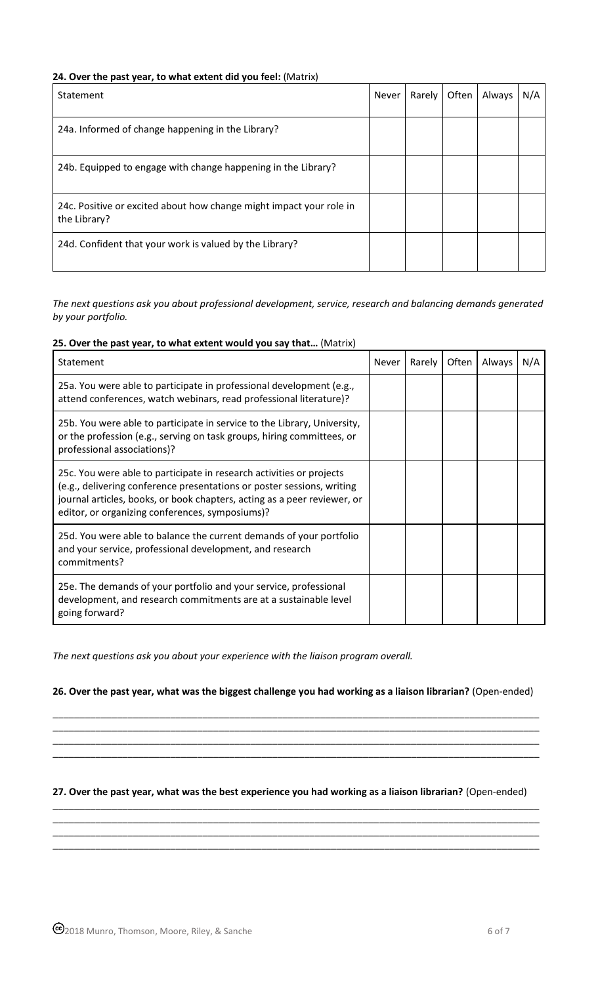# **24. Over the past year, to what extent did you feel:** (Matrix)

| Statement                                                                           | <b>Never</b> | Rarely | Often | Always | N/A |
|-------------------------------------------------------------------------------------|--------------|--------|-------|--------|-----|
| 24a. Informed of change happening in the Library?                                   |              |        |       |        |     |
| 24b. Equipped to engage with change happening in the Library?                       |              |        |       |        |     |
| 24c. Positive or excited about how change might impact your role in<br>the Library? |              |        |       |        |     |
| 24d. Confident that your work is valued by the Library?                             |              |        |       |        |     |

*The next questions ask you about professional development, service, research and balancing demands generated by your portfolio.*

## **25. Over the past year, to what extent would you say that…** (Matrix)

| Statement                                                                                                                                                                                                                                                                     | Never | Rarely | Often | Always | N/A |
|-------------------------------------------------------------------------------------------------------------------------------------------------------------------------------------------------------------------------------------------------------------------------------|-------|--------|-------|--------|-----|
| 25a. You were able to participate in professional development (e.g.,<br>attend conferences, watch webinars, read professional literature)?                                                                                                                                    |       |        |       |        |     |
| 25b. You were able to participate in service to the Library, University,<br>or the profession (e.g., serving on task groups, hiring committees, or<br>professional associations)?                                                                                             |       |        |       |        |     |
| 25c. You were able to participate in research activities or projects<br>(e.g., delivering conference presentations or poster sessions, writing<br>journal articles, books, or book chapters, acting as a peer reviewer, or<br>editor, or organizing conferences, symposiums)? |       |        |       |        |     |
| 25d. You were able to balance the current demands of your portfolio<br>and your service, professional development, and research<br>commitments?                                                                                                                               |       |        |       |        |     |
| 25e. The demands of your portfolio and your service, professional<br>development, and research commitments are at a sustainable level<br>going forward?                                                                                                                       |       |        |       |        |     |

*The next questions ask you about your experience with the liaison program overall.*

**26. Over the past year, what was the biggest challenge you had working as a liaison librarian?** (Open-ended)

\_\_\_\_\_\_\_\_\_\_\_\_\_\_\_\_\_\_\_\_\_\_\_\_\_\_\_\_\_\_\_\_\_\_\_\_\_\_\_\_\_\_\_\_\_\_\_\_\_\_\_\_\_\_\_\_\_\_\_\_\_\_\_\_\_\_\_\_\_\_\_\_\_\_\_\_\_\_\_\_\_\_\_\_\_\_\_\_\_\_\_ \_\_\_\_\_\_\_\_\_\_\_\_\_\_\_\_\_\_\_\_\_\_\_\_\_\_\_\_\_\_\_\_\_\_\_\_\_\_\_\_\_\_\_\_\_\_\_\_\_\_\_\_\_\_\_\_\_\_\_\_\_\_\_\_\_\_\_\_\_\_\_\_\_\_\_\_\_\_\_\_\_\_\_\_\_\_\_\_\_\_\_ \_\_\_\_\_\_\_\_\_\_\_\_\_\_\_\_\_\_\_\_\_\_\_\_\_\_\_\_\_\_\_\_\_\_\_\_\_\_\_\_\_\_\_\_\_\_\_\_\_\_\_\_\_\_\_\_\_\_\_\_\_\_\_\_\_\_\_\_\_\_\_\_\_\_\_\_\_\_\_\_\_\_\_\_\_\_\_\_\_\_\_ \_\_\_\_\_\_\_\_\_\_\_\_\_\_\_\_\_\_\_\_\_\_\_\_\_\_\_\_\_\_\_\_\_\_\_\_\_\_\_\_\_\_\_\_\_\_\_\_\_\_\_\_\_\_\_\_\_\_\_\_\_\_\_\_\_\_\_\_\_\_\_\_\_\_\_\_\_\_\_\_\_\_\_\_\_\_\_\_\_\_\_

## **27. Over the past year, what was the best experience you had working as a liaison librarian?** (Open-ended) \_\_\_\_\_\_\_\_\_\_\_\_\_\_\_\_\_\_\_\_\_\_\_\_\_\_\_\_\_\_\_\_\_\_\_\_\_\_\_\_\_\_\_\_\_\_\_\_\_\_\_\_\_\_\_\_\_\_\_\_\_\_\_\_\_\_\_\_\_\_\_\_\_\_\_\_\_\_\_\_\_\_\_\_\_\_\_\_\_\_\_

\_\_\_\_\_\_\_\_\_\_\_\_\_\_\_\_\_\_\_\_\_\_\_\_\_\_\_\_\_\_\_\_\_\_\_\_\_\_\_\_\_\_\_\_\_\_\_\_\_\_\_\_\_\_\_\_\_\_\_\_\_\_\_\_\_\_\_\_\_\_\_\_\_\_\_\_\_\_\_\_\_\_\_\_\_\_\_\_\_\_\_ \_\_\_\_\_\_\_\_\_\_\_\_\_\_\_\_\_\_\_\_\_\_\_\_\_\_\_\_\_\_\_\_\_\_\_\_\_\_\_\_\_\_\_\_\_\_\_\_\_\_\_\_\_\_\_\_\_\_\_\_\_\_\_\_\_\_\_\_\_\_\_\_\_\_\_\_\_\_\_\_\_\_\_\_\_\_\_\_\_\_\_ \_\_\_\_\_\_\_\_\_\_\_\_\_\_\_\_\_\_\_\_\_\_\_\_\_\_\_\_\_\_\_\_\_\_\_\_\_\_\_\_\_\_\_\_\_\_\_\_\_\_\_\_\_\_\_\_\_\_\_\_\_\_\_\_\_\_\_\_\_\_\_\_\_\_\_\_\_\_\_\_\_\_\_\_\_\_\_\_\_\_\_